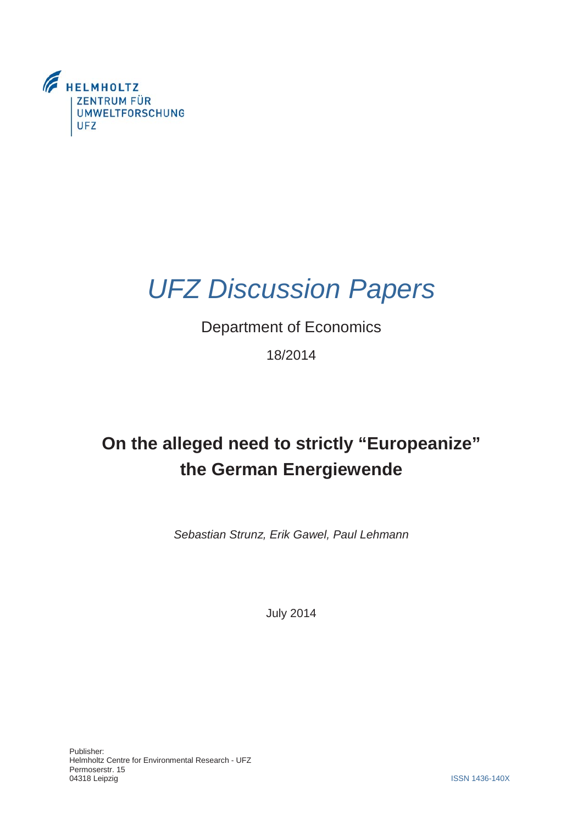

# *UFZ Discussion Papers*

# Department of Economics

### 18/2014

# **On the alleged need to strictly "Europeanize" the German Energiewende**

*Sebastian Strunz, Erik Gawel, Paul Lehmann* 

July 2014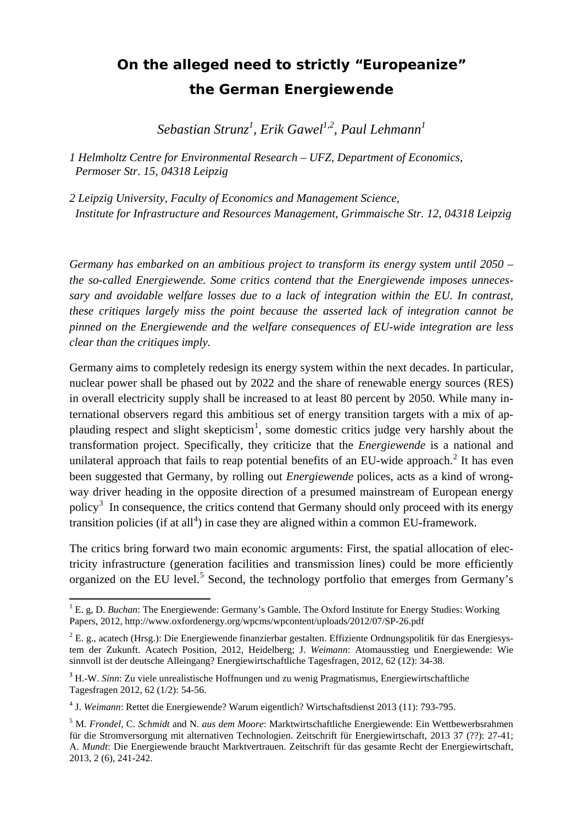# **On the alleged need to strictly "Europeanize" the German Energiewende**

*Sebastian Strunz<sup>1</sup> , Erik Gawel1,2, Paul Lehmann1*

*1 Helmholtz Centre for Environmental Research – UFZ, Department of Economics, Permoser Str. 15, 04318 Leipzig* 

*2 Leipzig University, Faculty of Economics and Management Science, Institute for Infrastructure and Resources Management, Grimmaische Str. 12, 04318 Leipzig* 

*Germany has embarked on an ambitious project to transform its energy system until 2050 – the so-called Energiewende. Some critics contend that the Energiewende imposes unnecessary and avoidable welfare losses due to a lack of integration within the EU. In contrast, these critiques largely miss the point because the asserted lack of integration cannot be pinned on the Energiewende and the welfare consequences of EU-wide integration are less clear than the critiques imply.* 

Germany aims to completely redesign its energy system within the next decades. In particular, nuclear power shall be phased out by 2022 and the share of renewable energy sources (RES) in overall electricity supply shall be increased to at least 80 percent by 2050. While many international observers regard this ambitious set of energy transition targets with a mix of ap-plauding respect and slight skepticism<sup>[1](#page-1-0)</sup>, some domestic critics judge very harshly about the transformation project. Specifically, they criticize that the *Energiewende* is a national and unilateral approach that fails to reap potential benefits of an EU-wide approach.<sup>[2](#page-1-1)</sup> It has even been suggested that Germany, by rolling out *Energiewende* polices, acts as a kind of wrongway driver heading in the opposite direction of a presumed mainstream of European energy policy<sup>[3](#page-1-2)</sup> In consequence, the critics contend that Germany should only proceed with its energy transition policies (if at all<sup>[4](#page-1-3)</sup>) in case they are aligned within a common EU-framework.

The critics bring forward two main economic arguments: First, the spatial allocation of electricity infrastructure (generation facilities and transmission lines) could be more efficiently organized on the EU level.<sup>[5](#page-1-4)</sup> Second, the technology portfolio that emerges from Germany's

<span id="page-1-0"></span><sup>&</sup>lt;sup>1</sup> E. g, D. *Buchan*: The Energiewende: Germany's Gamble. The Oxford Institute for Energy Studies: Working Papers, 2012, http://www.oxfordenergy.org/wpcms/wpcontent/uploads/2012/07/SP-26.pdf

<span id="page-1-1"></span> $2$  E. g., acatech (Hrsg.): Die Energiewende finanzierbar gestalten. Effiziente Ordnungspolitik für das Energiesystem der Zukunft. Acatech Position, 2012, Heidelberg; J. *Weimann*: Atomausstieg und Energiewende: Wie sinnvoll ist der deutsche Alleingang? Energiewirtschaftliche Tagesfragen, 2012, 62 (12): 34-38.

<span id="page-1-2"></span><sup>&</sup>lt;sup>3</sup> H.-W. *Sinn*: Zu viele unrealistische Hoffnungen und zu wenig Pragmatismus, Energiewirtschaftliche Tagesfragen 2012, 62 (1/2): 54-56.

<span id="page-1-3"></span><sup>4</sup> J. *Weimann*: Rettet die Energiewende? Warum eigentlich? Wirtschaftsdienst 2013 (11): 793-795.

<span id="page-1-4"></span><sup>5</sup> M. *Frondel*, C. *Schmidt* and N. *aus dem Moore*: Marktwirtschaftliche Energiewende: Ein Wettbewerbsrahmen für die Stromversorgung mit alternativen Technologien. Zeitschrift für Energiewirtschaft, 2013 37 (??): 27-41; A. *Mundt*: Die Energiewende braucht Marktvertrauen. Zeitschrift für das gesamte Recht der Energiewirtschaft, 2013, 2 (6), 241-242.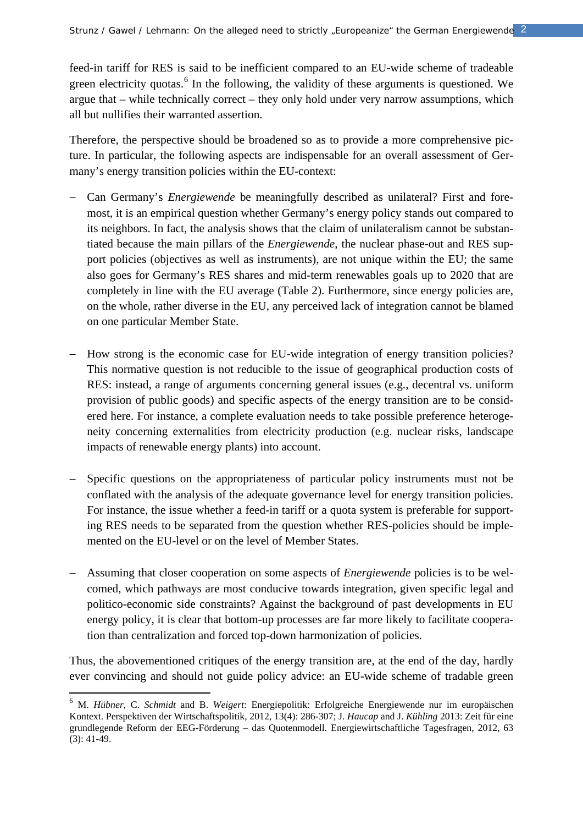feed-in tariff for RES is said to be inefficient compared to an EU-wide scheme of tradeable green electricity quotas.<sup>[6](#page-2-0)</sup> In the following, the validity of these arguments is questioned. We argue that – while technically correct – they only hold under very narrow assumptions, which all but nullifies their warranted assertion.

Therefore, the perspective should be broadened so as to provide a more comprehensive picture. In particular, the following aspects are indispensable for an overall assessment of Germany's energy transition policies within the EU-context:

- − Can Germany's *Energiewende* be meaningfully described as unilateral? First and foremost, it is an empirical question whether Germany's energy policy stands out compared to its neighbors. In fact, the analysis shows that the claim of unilateralism cannot be substantiated because the main pillars of the *Energiewende*, the nuclear phase-out and RES support policies (objectives as well as instruments), are not unique within the EU; the same also goes for Germany's RES shares and mid-term renewables goals up to 2020 that are completely in line with the EU average (Table 2). Furthermore, since energy policies are, on the whole, rather diverse in the EU, any perceived lack of integration cannot be blamed on one particular Member State.
- − How strong is the economic case for EU-wide integration of energy transition policies? This normative question is not reducible to the issue of geographical production costs of RES: instead, a range of arguments concerning general issues (e.g., decentral vs. uniform provision of public goods) and specific aspects of the energy transition are to be considered here. For instance, a complete evaluation needs to take possible preference heterogeneity concerning externalities from electricity production (e.g. nuclear risks, landscape impacts of renewable energy plants) into account.
- Specific questions on the appropriateness of particular policy instruments must not be conflated with the analysis of the adequate governance level for energy transition policies. For instance, the issue whether a feed-in tariff or a quota system is preferable for supporting RES needs to be separated from the question whether RES-policies should be implemented on the EU-level or on the level of Member States.
- − Assuming that closer cooperation on some aspects of *Energiewende* policies is to be welcomed, which pathways are most conducive towards integration, given specific legal and politico-economic side constraints? Against the background of past developments in EU energy policy, it is clear that bottom-up processes are far more likely to facilitate cooperation than centralization and forced top-down harmonization of policies.

Thus, the abovementioned critiques of the energy transition are, at the end of the day, hardly ever convincing and should not guide policy advice: an EU-wide scheme of tradable green

<span id="page-2-0"></span><sup>6</sup> M. *Hübner*, C. *Schmidt* and B. *Weigert*: Energiepolitik: Erfolgreiche Energiewende nur im europäischen Kontext. Perspektiven der Wirtschaftspolitik, 2012, 13(4): 286-307; J. *Haucap* and J. *Kühling* 2013: Zeit für eine grundlegende Reform der EEG-Förderung – das Quotenmodell. Energiewirtschaftliche Tagesfragen, 2012, 63 (3): 41-49.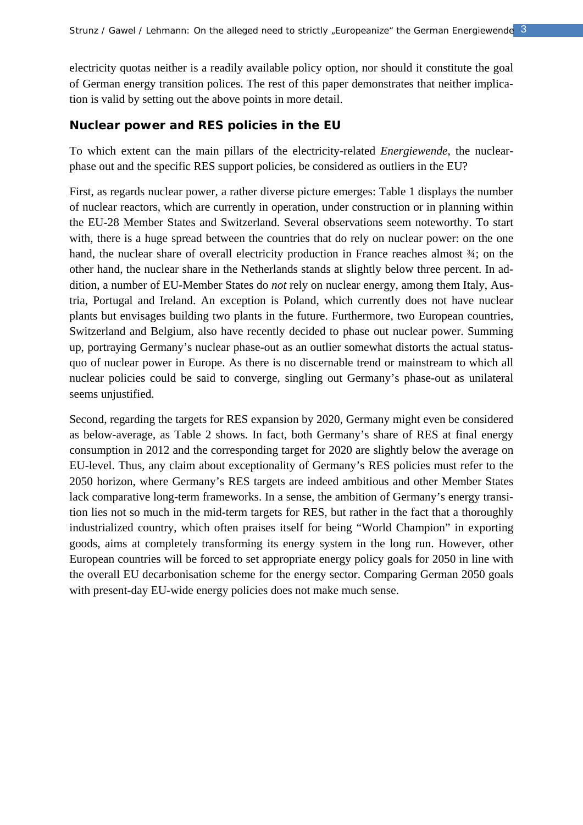electricity quotas neither is a readily available policy option, nor should it constitute the goal of German energy transition polices. The rest of this paper demonstrates that neither implication is valid by setting out the above points in more detail.

#### **Nuclear power and RES policies in the EU**

To which extent can the main pillars of the electricity-related *Energiewende*, the nuclearphase out and the specific RES support policies, be considered as outliers in the EU?

First, as regards nuclear power, a rather diverse picture emerges: Table 1 displays the number of nuclear reactors, which are currently in operation, under construction or in planning within the EU-28 Member States and Switzerland. Several observations seem noteworthy. To start with, there is a huge spread between the countries that do rely on nuclear power: on the one hand, the nuclear share of overall electricity production in France reaches almost  $\frac{3}{4}$ ; on the other hand, the nuclear share in the Netherlands stands at slightly below three percent. In addition, a number of EU-Member States do *not* rely on nuclear energy, among them Italy, Austria, Portugal and Ireland. An exception is Poland, which currently does not have nuclear plants but envisages building two plants in the future. Furthermore, two European countries, Switzerland and Belgium, also have recently decided to phase out nuclear power. Summing up, portraying Germany's nuclear phase-out as an outlier somewhat distorts the actual statusquo of nuclear power in Europe. As there is no discernable trend or mainstream to which all nuclear policies could be said to converge, singling out Germany's phase-out as unilateral seems unjustified.

Second, regarding the targets for RES expansion by 2020, Germany might even be considered as below-average, as Table 2 shows. In fact, both Germany's share of RES at final energy consumption in 2012 and the corresponding target for 2020 are slightly below the average on EU-level. Thus, any claim about exceptionality of Germany's RES policies must refer to the 2050 horizon, where Germany's RES targets are indeed ambitious and other Member States lack comparative long-term frameworks. In a sense, the ambition of Germany's energy transition lies not so much in the mid-term targets for RES, but rather in the fact that a thoroughly industrialized country, which often praises itself for being "World Champion" in exporting goods, aims at completely transforming its energy system in the long run. However, other European countries will be forced to set appropriate energy policy goals for 2050 in line with the overall EU decarbonisation scheme for the energy sector. Comparing German 2050 goals with present-day EU-wide energy policies does not make much sense.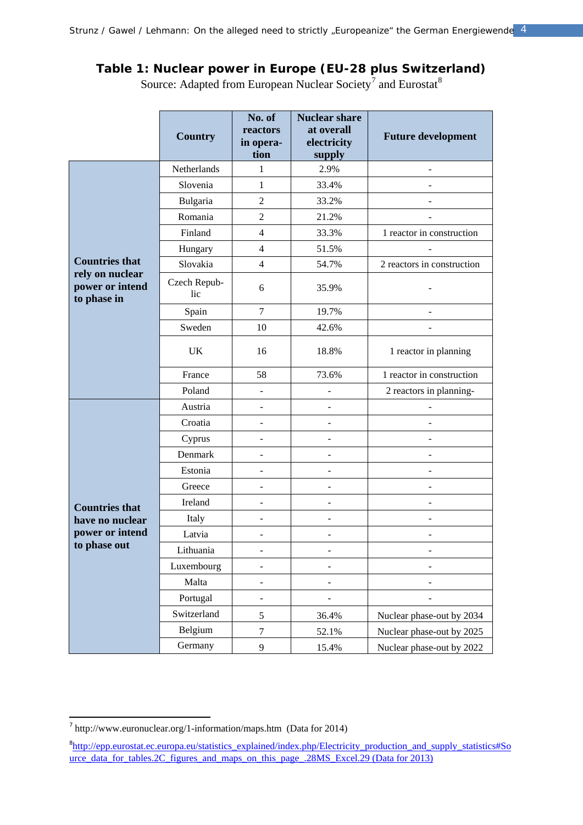## **Table 1: Nuclear power in Europe (EU-28 plus Switzerland)**

Source: Adapted from European Nuclear Society<sup>[7](#page-4-0)</sup> and Eurostat<sup>[8](#page-4-1)</sup>

|                                                   | <b>Country</b>      | No. of<br>reactors<br>in opera-<br>tion | <b>Nuclear share</b><br>at overall<br>electricity<br>supply | <b>Future development</b>  |  |
|---------------------------------------------------|---------------------|-----------------------------------------|-------------------------------------------------------------|----------------------------|--|
|                                                   | Netherlands         | 1                                       | 2.9%                                                        |                            |  |
|                                                   | Slovenia            | $\mathbf{1}$                            | 33.4%                                                       |                            |  |
|                                                   | Bulgaria            | $\overline{2}$                          | 33.2%                                                       |                            |  |
|                                                   | Romania             | $\overline{2}$                          | 21.2%                                                       |                            |  |
|                                                   | Finland             | $\overline{4}$                          | 33.3%                                                       | 1 reactor in construction  |  |
|                                                   | Hungary             | $\overline{4}$                          | 51.5%                                                       |                            |  |
| <b>Countries that</b>                             | Slovakia            | $\overline{4}$                          | 54.7%                                                       | 2 reactors in construction |  |
| rely on nuclear<br>power or intend<br>to phase in | Czech Repub-<br>lic | 6                                       | 35.9%                                                       |                            |  |
|                                                   | Spain               | $\overline{7}$                          | 19.7%                                                       |                            |  |
|                                                   | Sweden              | 10                                      | 42.6%                                                       |                            |  |
|                                                   | UK                  | 16                                      | 18.8%                                                       | 1 reactor in planning      |  |
|                                                   | France              | 58                                      | 73.6%                                                       | 1 reactor in construction  |  |
|                                                   | Poland              |                                         |                                                             | 2 reactors in planning-    |  |
|                                                   | Austria             |                                         |                                                             |                            |  |
|                                                   | Croatia             |                                         |                                                             |                            |  |
|                                                   | Cyprus              |                                         |                                                             |                            |  |
|                                                   | Denmark             |                                         |                                                             |                            |  |
|                                                   | Estonia             |                                         |                                                             |                            |  |
|                                                   | Greece              |                                         |                                                             |                            |  |
| <b>Countries that</b>                             | Ireland             |                                         |                                                             |                            |  |
| have no nuclear                                   | Italy               | ÷.                                      | ÷,                                                          | ÷.                         |  |
| power or intend                                   | Latvia              |                                         |                                                             |                            |  |
| to phase out                                      | Lithuania           |                                         | -                                                           |                            |  |
|                                                   | Luxembourg          |                                         |                                                             |                            |  |
|                                                   | Malta               | $\overline{\phantom{0}}$                |                                                             |                            |  |
|                                                   | Portugal            |                                         |                                                             |                            |  |
|                                                   | Switzerland         | 5                                       | 36.4%                                                       | Nuclear phase-out by 2034  |  |
|                                                   | Belgium             | $\tau$                                  | 52.1%                                                       | Nuclear phase-out by 2025  |  |
|                                                   | Germany             | 9                                       | 15.4%                                                       | Nuclear phase-out by 2022  |  |

 $\overline{a}$ 

<span id="page-4-0"></span> $<sup>7</sup>$  http://www.euronuclear.org/1-information/maps.htm (Data for 2014)</sup>

<span id="page-4-1"></span><sup>&</sup>lt;sup>8</sup>http://epp.eurostat.ec.europa.eu/statistics\_explained/index.php/Electricity\_production\_and\_supply\_statistics#So urce\_data\_for\_tables.2C\_figures\_and\_maps\_on\_this\_page\_.28MS\_Excel.29 (Data for 2013)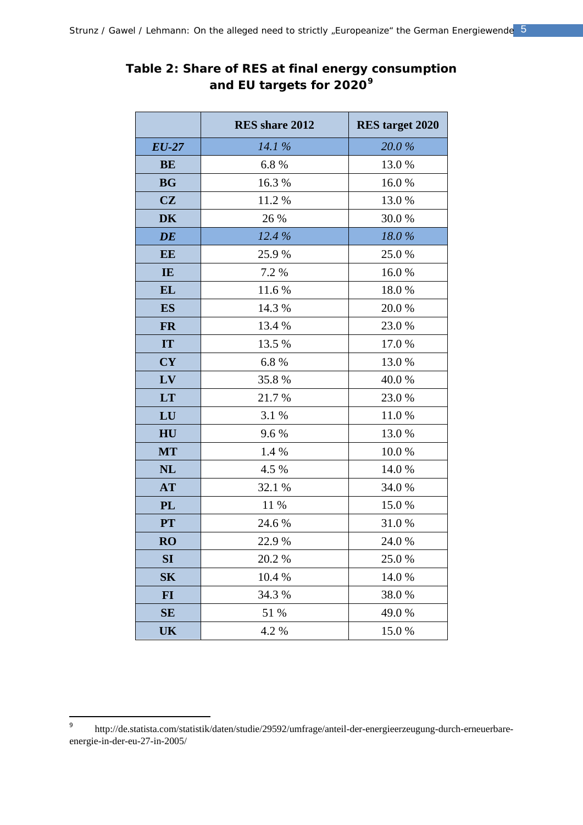|                | <b>RES</b> share 2012 | <b>RES</b> target 2020 |  |
|----------------|-----------------------|------------------------|--|
| $EU-27$        | 14.1 %                | 20.0%                  |  |
| <b>BE</b>      | 6.8%                  | 13.0%                  |  |
| <b>BG</b>      | 16.3%                 | 16.0%                  |  |
| <b>CZ</b>      | 11.2 %                | 13.0%                  |  |
| <b>DK</b>      | 26 %                  | 30.0%                  |  |
| <b>DE</b>      | 12.4 %                | 18.0%                  |  |
| EE             | 25.9%                 | 25.0%                  |  |
| IE             | 7.2 %                 | 16.0%                  |  |
| <b>EL</b>      | 11.6%                 | 18.0%                  |  |
| <b>ES</b>      | 14.3 %                | 20.0%                  |  |
| <b>FR</b>      | 13.4 %                | 23.0%                  |  |
| IT             | 13.5 %                | 17.0%                  |  |
| <b>CY</b>      | 6.8%                  | 13.0%                  |  |
| LV             | 35.8%                 | 40.0%                  |  |
| LT             | 21.7 %                | 23.0 %                 |  |
| LU             | 3.1 %                 | 11.0%                  |  |
| HU             | 9.6%                  | 13.0%                  |  |
| <b>MT</b>      | 1.4 %                 | 10.0%                  |  |
| <b>NL</b>      | 4.5 %                 | 14.0%                  |  |
| <b>AT</b>      | 32.1 %                | 34.0 %                 |  |
| <b>PL</b>      | 11 %                  | 15.0%                  |  |
| <b>PT</b>      | 24.6 %                | 31.0%                  |  |
| <b>RO</b>      | 22.9 %                | 24.0 %                 |  |
| SI             | 20.2 %                | 25.0%                  |  |
| S <sub>K</sub> | 10.4 %                | 14.0 %                 |  |
| $FI$           | 34.3 %                | 38.0%                  |  |
| SE             | 51 %                  | 49.0%                  |  |
| <b>UK</b>      | 4.2 %                 | 15.0%                  |  |

#### **Table 2: Share of RES at final energy consumption and EU targets for 2020[9](#page-5-0)**

<span id="page-5-0"></span><sup>9</sup> http://de.statista.com/statistik/daten/studie/29592/umfrage/anteil-der-energieerzeugung-durch-erneuerbareenergie-in-der-eu-27-in-2005/  $\overline{9}$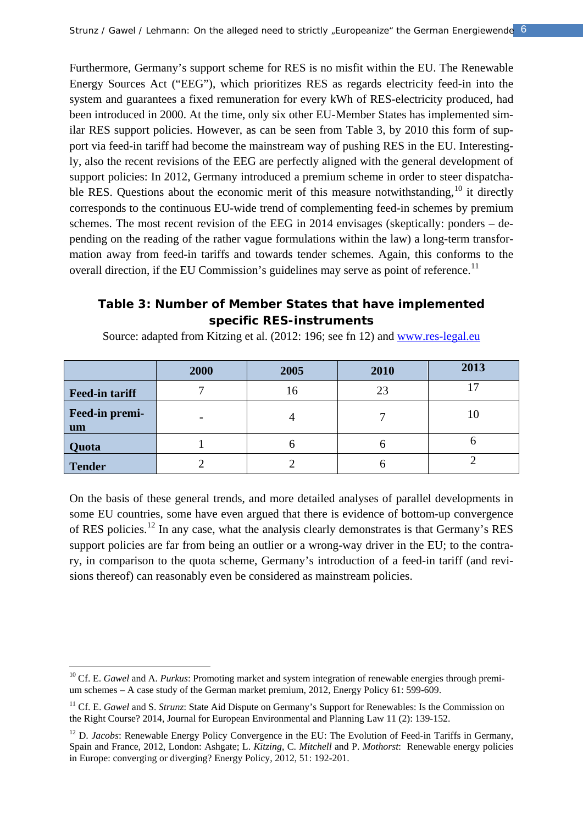Furthermore, Germany's support scheme for RES is no misfit within the EU. The Renewable Energy Sources Act ("EEG"), which prioritizes RES as regards electricity feed-in into the system and guarantees a fixed remuneration for every kWh of RES-electricity produced, had been introduced in 2000. At the time, only six other EU-Member States has implemented similar RES support policies. However, as can be seen from Table 3, by 2010 this form of support via feed-in tariff had become the mainstream way of pushing RES in the EU. Interestingly, also the recent revisions of the EEG are perfectly aligned with the general development of support policies: In 2012, Germany introduced a premium scheme in order to steer dispatchable RES. Questions about the economic merit of this measure notwithstanding,  $10$  it directly corresponds to the continuous EU-wide trend of complementing feed-in schemes by premium schemes. The most recent revision of the EEG in 2014 envisages (skeptically: ponders – depending on the reading of the rather vague formulations within the law) a long-term transformation away from feed-in tariffs and towards tender schemes. Again, this conforms to the overall direction, if the EU Commission's guidelines may serve as point of reference.<sup>[11](#page-6-1)</sup>

#### **Table 3: Number of Member States that have implemented specific RES-instruments**

|                       | 2000                     | 2005 | 2010 | 2013           |
|-----------------------|--------------------------|------|------|----------------|
| <b>Feed-in tariff</b> |                          | 16   | 23   | $\overline{ }$ |
| Feed-in premi-<br>um  | $\overline{\phantom{0}}$ |      |      | 10             |
| Quota                 |                          |      | n    |                |
| <b>Tender</b>         |                          |      |      |                |

Source: adapted from Kitzing et al. (2012: 196; see fn 12) and [www.res-legal.eu](http://www.res-legal.eu/)

On the basis of these general trends, and more detailed analyses of parallel developments in some EU countries, some have even argued that there is evidence of bottom-up convergence of RES policies.[12](#page-6-2) In any case, what the analysis clearly demonstrates is that Germany's RES support policies are far from being an outlier or a wrong-way driver in the EU; to the contrary, in comparison to the quota scheme, Germany's introduction of a feed-in tariff (and revisions thereof) can reasonably even be considered as mainstream policies.

 $\overline{a}$ 

<span id="page-6-0"></span><sup>&</sup>lt;sup>10</sup> Cf. E. *Gawel* and A. *Purkus*: Promoting market and system integration of renewable energies through premium schemes – A case study of the German market premium, 2012, Energy Policy 61: 599-609.

<span id="page-6-1"></span><sup>&</sup>lt;sup>11</sup> Cf. E. *Gawel* and S. *Strunz*: State Aid Dispute on Germany's Support for Renewables: Is the Commission on the Right Course? 2014, [Journal for European Environmental and Planning Law](http://booksandjournals.brillonline.com/content/journals/18760104) 11 (2): 139-152.

<span id="page-6-2"></span><sup>&</sup>lt;sup>12</sup> D. *Jacobs*: Renewable Energy Policy Convergence in the EU: The Evolution of Feed-in Tariffs in Germany, Spain and France, 2012, London: Ashgate; L. *Kitzing*, C. *Mitchell* and P. *Mothorst*: Renewable energy policies in Europe: converging or diverging? Energy Policy, 2012, 51: 192-201.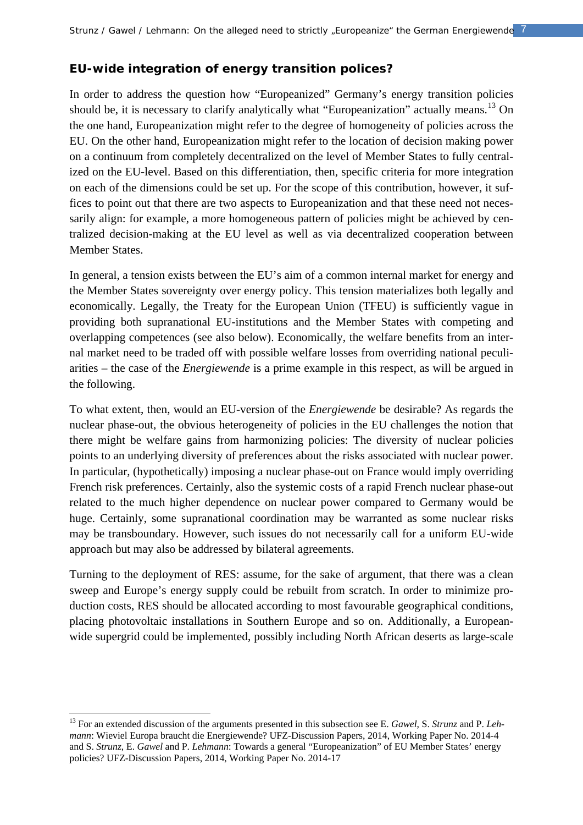#### **EU-wide integration of energy transition polices?**

In order to address the question how "Europeanized" Germany's energy transition policies should be, it is necessary to clarify analytically what "Europeanization" actually means.<sup>[13](#page-7-0)</sup> On the one hand, Europeanization might refer to the degree of homogeneity of policies across the EU. On the other hand, Europeanization might refer to the location of decision making power on a continuum from completely decentralized on the level of Member States to fully centralized on the EU-level. Based on this differentiation, then, specific criteria for more integration on each of the dimensions could be set up. For the scope of this contribution, however, it suffices to point out that there are two aspects to Europeanization and that these need not necessarily align: for example, a more homogeneous pattern of policies might be achieved by centralized decision-making at the EU level as well as via decentralized cooperation between Member States.

In general, a tension exists between the EU's aim of a common internal market for energy and the Member States sovereignty over energy policy. This tension materializes both legally and economically. Legally, the Treaty for the European Union (TFEU) is sufficiently vague in providing both supranational EU-institutions and the Member States with competing and overlapping competences (see also below). Economically, the welfare benefits from an internal market need to be traded off with possible welfare losses from overriding national peculiarities – the case of the *Energiewende* is a prime example in this respect, as will be argued in the following.

To what extent, then, would an EU-version of the *Energiewende* be desirable? As regards the nuclear phase-out, the obvious heterogeneity of policies in the EU challenges the notion that there might be welfare gains from harmonizing policies: The diversity of nuclear policies points to an underlying diversity of preferences about the risks associated with nuclear power. In particular, (hypothetically) imposing a nuclear phase-out on France would imply overriding French risk preferences. Certainly, also the systemic costs of a rapid French nuclear phase-out related to the much higher dependence on nuclear power compared to Germany would be huge. Certainly, some supranational coordination may be warranted as some nuclear risks may be transboundary. However, such issues do not necessarily call for a uniform EU-wide approach but may also be addressed by bilateral agreements.

Turning to the deployment of RES: assume, for the sake of argument, that there was a clean sweep and Europe's energy supply could be rebuilt from scratch. In order to minimize production costs, RES should be allocated according to most favourable geographical conditions, placing photovoltaic installations in Southern Europe and so on. Additionally, a Europeanwide supergrid could be implemented, possibly including North African deserts as large-scale

 $\overline{a}$ 

<span id="page-7-0"></span><sup>13</sup> For an extended discussion of the arguments presented in this subsection see E. *Gawel*, S. *Strunz* and P. *Lehmann*: Wieviel Europa braucht die Energiewende? UFZ-Discussion Papers, 2014, Working Paper No. 2014-4 and S. *Strunz*, E. *Gawel* and P. *Lehmann*: Towards a general "Europeanization" of EU Member States' energy policies? UFZ-Discussion Papers, 2014, Working Paper No. 2014-17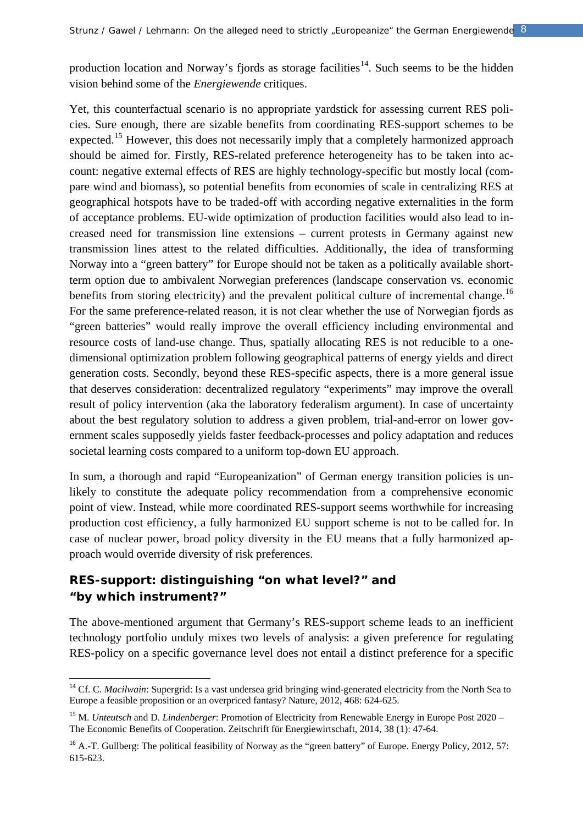production location and Norway's fjords as storage facilities<sup>[14](#page-8-0)</sup>. Such seems to be the hidden vision behind some of the *Energiewende* critiques.

Yet, this counterfactual scenario is no appropriate yardstick for assessing current RES policies. Sure enough, there are sizable benefits from coordinating RES-support schemes to be expected.<sup>[15](#page-8-1)</sup> However, this does not necessarily imply that a completely harmonized approach should be aimed for. Firstly, RES-related preference heterogeneity has to be taken into account: negative external effects of RES are highly technology-specific but mostly local (compare wind and biomass), so potential benefits from economies of scale in centralizing RES at geographical hotspots have to be traded-off with according negative externalities in the form of acceptance problems. EU-wide optimization of production facilities would also lead to increased need for transmission line extensions – current protests in Germany against new transmission lines attest to the related difficulties. Additionally, the idea of transforming Norway into a "green battery" for Europe should not be taken as a politically available shortterm option due to ambivalent Norwegian preferences (landscape conservation vs. economic benefits from storing electricity) and the prevalent political culture of incremental change.<sup>[16](#page-8-2)</sup> For the same preference-related reason, it is not clear whether the use of Norwegian fjords as "green batteries" would really improve the overall efficiency including environmental and resource costs of land-use change. Thus, spatially allocating RES is not reducible to a onedimensional optimization problem following geographical patterns of energy yields and direct generation costs. Secondly, beyond these RES-specific aspects, there is a more general issue that deserves consideration: decentralized regulatory "experiments" may improve the overall result of policy intervention (aka the laboratory federalism argument). In case of uncertainty about the best regulatory solution to address a given problem, trial-and-error on lower government scales supposedly yields faster feedback-processes and policy adaptation and reduces societal learning costs compared to a uniform top-down EU approach.

In sum, a thorough and rapid "Europeanization" of German energy transition policies is unlikely to constitute the adequate policy recommendation from a comprehensive economic point of view. Instead, while more coordinated RES-support seems worthwhile for increasing production cost efficiency, a fully harmonized EU support scheme is not to be called for. In case of nuclear power, broad policy diversity in the EU means that a fully harmonized approach would override diversity of risk preferences.

#### **RES-support: distinguishing "on what level?" and "by which instrument?"**

<u>.</u>

The above-mentioned argument that Germany's RES-support scheme leads to an inefficient technology portfolio unduly mixes two levels of analysis: a given preference for regulating RES-policy on a specific governance level does not entail a distinct preference for a specific

<span id="page-8-0"></span><sup>&</sup>lt;sup>14</sup> Cf. C. *Macilwain*: Supergrid: Is a vast undersea grid bringing wind-generated electricity from the North Sea to Europe a feasible proposition or an overpriced fantasy? Nature, 2012, 468: 624-625.

<span id="page-8-1"></span><sup>15</sup> M. *Unteutsch* and D. *Lindenberger*: Promotion of Electricity from Renewable Energy in Europe Post 2020 – The Economic Benefits of Cooperation. Zeitschrift für Energiewirtschaft, 2014, 38 (1): 47-64.

<span id="page-8-2"></span> $16$  A.-T. Gullberg: The political feasibility of Norway as the "green battery" of Europe. Energy Policy, 2012, 57: 615-623.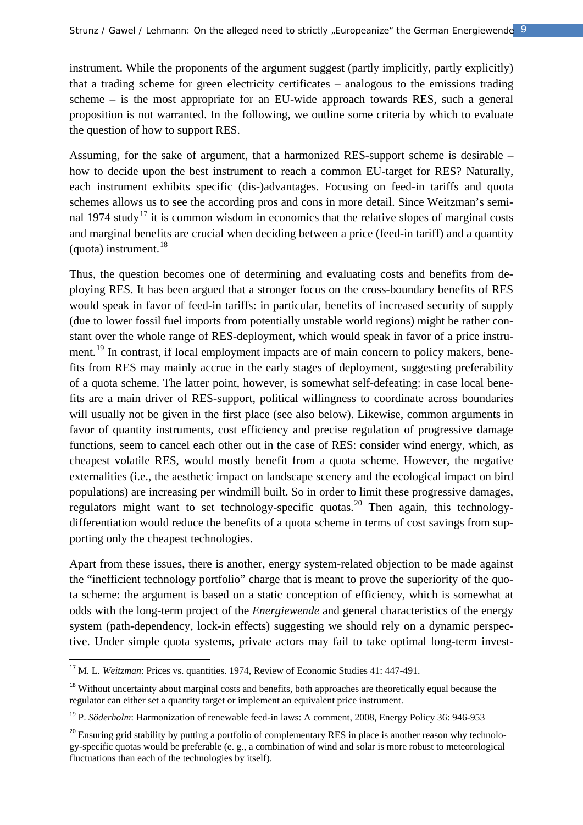instrument. While the proponents of the argument suggest (partly implicitly, partly explicitly) that a trading scheme for green electricity certificates – analogous to the emissions trading scheme – is the most appropriate for an EU-wide approach towards RES, such a general proposition is not warranted. In the following, we outline some criteria by which to evaluate the question of how to support RES.

Assuming, for the sake of argument, that a harmonized RES-support scheme is desirable – how to decide upon the best instrument to reach a common EU-target for RES? Naturally, each instrument exhibits specific (dis-)advantages. Focusing on feed-in tariffs and quota schemes allows us to see the according pros and cons in more detail. Since Weitzman's semi-nal 1974 study<sup>[17](#page-9-0)</sup> it is common wisdom in economics that the relative slopes of marginal costs and marginal benefits are crucial when deciding between a price (feed-in tariff) and a quantity (quota) instrument. [18](#page-9-1)

Thus, the question becomes one of determining and evaluating costs and benefits from deploying RES. It has been argued that a stronger focus on the cross-boundary benefits of RES would speak in favor of feed-in tariffs: in particular, benefits of increased security of supply (due to lower fossil fuel imports from potentially unstable world regions) might be rather constant over the whole range of RES-deployment, which would speak in favor of a price instru-ment.<sup>[19](#page-9-2)</sup> In contrast, if local employment impacts are of main concern to policy makers, benefits from RES may mainly accrue in the early stages of deployment, suggesting preferability of a quota scheme. The latter point, however, is somewhat self-defeating: in case local benefits are a main driver of RES-support, political willingness to coordinate across boundaries will usually not be given in the first place (see also below). Likewise, common arguments in favor of quantity instruments, cost efficiency and precise regulation of progressive damage functions, seem to cancel each other out in the case of RES: consider wind energy, which, as cheapest volatile RES, would mostly benefit from a quota scheme. However, the negative externalities (i.e., the aesthetic impact on landscape scenery and the ecological impact on bird populations) are increasing per windmill built. So in order to limit these progressive damages, regulators might want to set technology-specific quotas.<sup>[20](#page-9-3)</sup> Then again, this technologydifferentiation would reduce the benefits of a quota scheme in terms of cost savings from supporting only the cheapest technologies.

Apart from these issues, there is another, energy system-related objection to be made against the "inefficient technology portfolio" charge that is meant to prove the superiority of the quota scheme: the argument is based on a static conception of efficiency, which is somewhat at odds with the long-term project of the *Energiewende* and general characteristics of the energy system (path-dependency, lock-in effects) suggesting we should rely on a dynamic perspective. Under simple quota systems, private actors may fail to take optimal long-term invest-

<span id="page-9-0"></span><sup>&</sup>lt;sup>17</sup> M. L. *Weitzman*: Prices vs. quantities. 1974, Review of Economic Studies 41: 447-491.

<span id="page-9-1"></span><sup>&</sup>lt;sup>18</sup> Without uncertainty about marginal costs and benefits, both approaches are theoretically equal because the regulator can either set a quantity target or implement an equivalent price instrument.

<span id="page-9-2"></span><sup>19</sup> P. *Söderholm*: Harmonization of renewable feed-in laws: A comment, 2008, Energy Policy 36: 946-953

<span id="page-9-3"></span> $20$  Ensuring grid stability by putting a portfolio of complementary RES in place is another reason why technology-specific quotas would be preferable (e. g., a combination of wind and solar is more robust to meteorological fluctuations than each of the technologies by itself).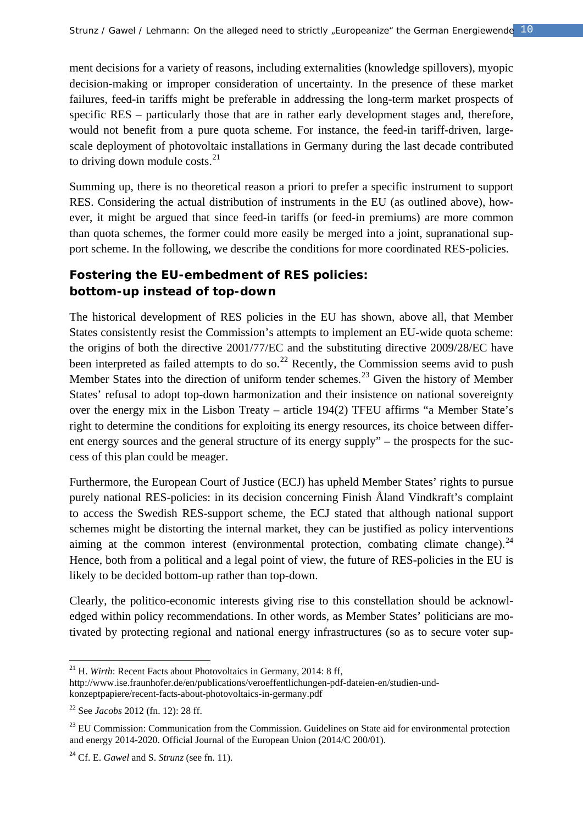ment decisions for a variety of reasons, including externalities (knowledge spillovers), myopic decision-making or improper consideration of uncertainty. In the presence of these market failures, feed-in tariffs might be preferable in addressing the long-term market prospects of specific RES – particularly those that are in rather early development stages and, therefore, would not benefit from a pure quota scheme. For instance, the feed-in tariff-driven, largescale deployment of photovoltaic installations in Germany during the last decade contributed to driving down module costs. $^{21}$  $^{21}$  $^{21}$ 

Summing up, there is no theoretical reason a priori to prefer a specific instrument to support RES. Considering the actual distribution of instruments in the EU (as outlined above), however, it might be argued that since feed-in tariffs (or feed-in premiums) are more common than quota schemes, the former could more easily be merged into a joint, supranational support scheme. In the following, we describe the conditions for more coordinated RES-policies.

#### **Fostering the EU-embedment of RES policies: bottom-up instead of top-down**

The historical development of RES policies in the EU has shown, above all, that Member States consistently resist the Commission's attempts to implement an EU-wide quota scheme: the origins of both the directive 2001/77/EC and the substituting directive 2009/28/EC have been interpreted as failed attempts to do so.<sup>[22](#page-10-1)</sup> Recently, the Commission seems avid to push Member States into the direction of uniform tender schemes.<sup>[23](#page-10-2)</sup> Given the history of Member States' refusal to adopt top-down harmonization and their insistence on national sovereignty over the energy mix in the Lisbon Treaty – article 194(2) TFEU affirms "a Member State's right to determine the conditions for exploiting its energy resources, its choice between different energy sources and the general structure of its energy supply" – the prospects for the success of this plan could be meager.

Furthermore, the European Court of Justice (ECJ) has upheld Member States' rights to pursue purely national RES-policies: in its decision concerning Finish Åland Vindkraft's complaint to access the Swedish RES-support scheme, the ECJ stated that although national support schemes might be distorting the internal market, they can be justified as policy interventions aiming at the common interest (environmental protection, combating climate change). $^{24}$  $^{24}$  $^{24}$ Hence, both from a political and a legal point of view, the future of RES-policies in the EU is likely to be decided bottom-up rather than top-down.

Clearly, the politico-economic interests giving rise to this constellation should be acknowledged within policy recommendations. In other words, as Member States' politicians are motivated by protecting regional and national energy infrastructures (so as to secure voter sup-

<span id="page-10-0"></span><sup>21</sup> H. *Wirth*: Recent Facts about Photovoltaics in Germany, 2014: 8 ff,

http://www.ise.fraunhofer.de/en/publications/veroeffentlichungen-pdf-dateien-en/studien-undkonzeptpapiere/recent-facts-about-photovoltaics-in-germany.pdf

<span id="page-10-1"></span><sup>22</sup> See *Jacobs* 2012 (fn. 12): 28 ff.

<span id="page-10-2"></span><sup>&</sup>lt;sup>23</sup> EU Commission: Communication from the Commission. Guidelines on State aid for environmental protection and energy 2014-2020. Official Journal of the European Union (2014/C 200/01).

<span id="page-10-3"></span><sup>24</sup> Cf. E. *Gawel* and S. *Strunz* (see fn. 11).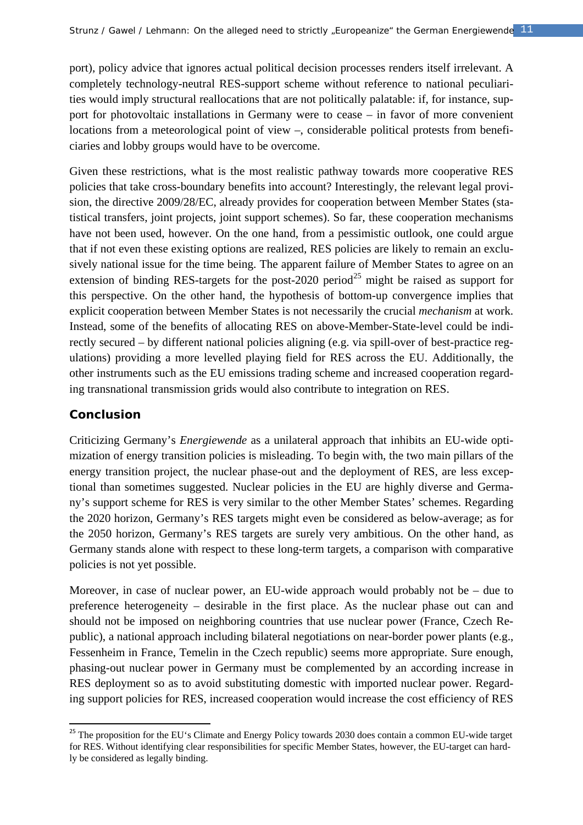port), policy advice that ignores actual political decision processes renders itself irrelevant. A completely technology-neutral RES-support scheme without reference to national peculiarities would imply structural reallocations that are not politically palatable: if, for instance, support for photovoltaic installations in Germany were to cease – in favor of more convenient locations from a meteorological point of view –, considerable political protests from beneficiaries and lobby groups would have to be overcome.

Given these restrictions, what is the most realistic pathway towards more cooperative RES policies that take cross-boundary benefits into account? Interestingly, the relevant legal provision, the directive 2009/28/EC, already provides for cooperation between Member States (statistical transfers, joint projects, joint support schemes). So far, these cooperation mechanisms have not been used, however. On the one hand, from a pessimistic outlook, one could argue that if not even these existing options are realized, RES policies are likely to remain an exclusively national issue for the time being. The apparent failure of Member States to agree on an extension of binding RES-targets for the post-2020 period<sup>[25](#page-11-0)</sup> might be raised as support for this perspective. On the other hand, the hypothesis of bottom-up convergence implies that explicit cooperation between Member States is not necessarily the crucial *mechanism* at work. Instead, some of the benefits of allocating RES on above-Member-State-level could be indirectly secured – by different national policies aligning (e.g. via spill-over of best-practice regulations) providing a more levelled playing field for RES across the EU. Additionally, the other instruments such as the EU emissions trading scheme and increased cooperation regarding transnational transmission grids would also contribute to integration on RES.

#### **Conclusion**

 $\overline{a}$ 

Criticizing Germany's *Energiewende* as a unilateral approach that inhibits an EU-wide optimization of energy transition policies is misleading. To begin with, the two main pillars of the energy transition project, the nuclear phase-out and the deployment of RES, are less exceptional than sometimes suggested. Nuclear policies in the EU are highly diverse and Germany's support scheme for RES is very similar to the other Member States' schemes. Regarding the 2020 horizon, Germany's RES targets might even be considered as below-average; as for the 2050 horizon, Germany's RES targets are surely very ambitious. On the other hand, as Germany stands alone with respect to these long-term targets, a comparison with comparative policies is not yet possible.

Moreover, in case of nuclear power, an EU-wide approach would probably not be – due to preference heterogeneity – desirable in the first place. As the nuclear phase out can and should not be imposed on neighboring countries that use nuclear power (France, Czech Republic), a national approach including bilateral negotiations on near-border power plants (e.g., Fessenheim in France, Temelin in the Czech republic) seems more appropriate. Sure enough, phasing-out nuclear power in Germany must be complemented by an according increase in RES deployment so as to avoid substituting domestic with imported nuclear power. Regarding support policies for RES, increased cooperation would increase the cost efficiency of RES

<span id="page-11-0"></span><sup>&</sup>lt;sup>25</sup> The proposition for the EU's Climate and Energy Policy towards 2030 does contain a common EU-wide target for RES. Without identifying clear responsibilities for specific Member States, however, the EU-target can hardly be considered as legally binding.